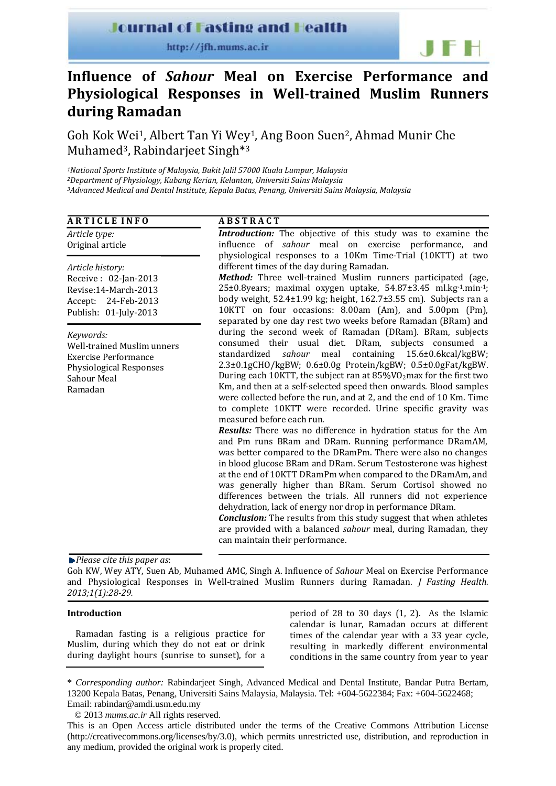# **Journal of Fasting and Health**

http://jfh.mums.ac.ir

# **Influence of** *Sahour* **Meal on Exercise Performance and Physiological Responses in Welltrained Muslim Runners during Ramadan**

Goh Kok Wei1, Albert Tan Yi Wey1, Ang Boon Suen2, Ahmad Munir Che Muhamed<sup>3</sup>, Rabindarieet Singh<sup>\*3</sup>

*1National Sports Institute of Malaysia, Bukit Jalil 57000 Kuala Lumpur, Malaysia 2Department of Physiology, Kubang Kerian, Kelantan, Universiti Sains Malaysia 3Advanced Medical and Dental Institute, Kepala Batas, Penang, Universiti Sains Malaysia, Malaysia*

| <b>ARTICLE INFO</b>                                                                                                                       | <b>ABSTRACT</b>                                                                                                                                                                                                                                                                                                                                                                                                                                                                                                                                                                                                                                                                                                                                                                                                                                                                                                                                                                                                                                                                                                                                                                                                                                                                |
|-------------------------------------------------------------------------------------------------------------------------------------------|--------------------------------------------------------------------------------------------------------------------------------------------------------------------------------------------------------------------------------------------------------------------------------------------------------------------------------------------------------------------------------------------------------------------------------------------------------------------------------------------------------------------------------------------------------------------------------------------------------------------------------------------------------------------------------------------------------------------------------------------------------------------------------------------------------------------------------------------------------------------------------------------------------------------------------------------------------------------------------------------------------------------------------------------------------------------------------------------------------------------------------------------------------------------------------------------------------------------------------------------------------------------------------|
| Article type:<br>Original article                                                                                                         | Introduction: The objective of this study was to examine the<br>influence of sahour meal on exercise performance, and<br>physiological responses to a 10Km Time-Trial (10KTT) at two                                                                                                                                                                                                                                                                                                                                                                                                                                                                                                                                                                                                                                                                                                                                                                                                                                                                                                                                                                                                                                                                                           |
| Article history:<br>Receive: 02-Jan-2013<br>Revise:14-March-2013<br>Accept: 24-Feb-2013<br>Publish: 01-July-2013                          | different times of the day during Ramadan.<br>Method: Three well-trained Muslim runners participated (age,<br>25±0.8years; maximal oxygen uptake, 54.87±3.45 ml.kg-1.min-1;<br>body weight, $52.4 \pm 1.99$ kg; height, $162.7 \pm 3.55$ cm). Subjects ran a<br>10KTT on four occasions: 8.00am (Am), and 5.00pm (Pm),<br>separated by one day rest two weeks before Ramadan (BRam) and                                                                                                                                                                                                                                                                                                                                                                                                                                                                                                                                                                                                                                                                                                                                                                                                                                                                                        |
| Keywords:<br><b>Well-trained Muslim unners</b><br><b>Exercise Performance</b><br><b>Physiological Responses</b><br>Sahour Meal<br>Ramadan | during the second week of Ramadan (DRam). BRam, subjects<br>consumed their usual diet. DRam, subjects consumed a<br>standardized<br>sahour meal<br>containing 15.6±0.6kcal/kgBW;<br>2.3±0.1gCHO/kgBW; 0.6±0.0g Protein/kgBW; 0.5±0.0gFat/kgBW.<br>During each 10KTT, the subject ran at 85%VO2max for the first two<br>Km, and then at a self-selected speed then onwards. Blood samples<br>were collected before the run, and at 2, and the end of 10 Km. Time<br>to complete 10KTT were recorded. Urine specific gravity was<br>measured before each run.<br><b>Results:</b> There was no difference in hydration status for the Am<br>and Pm runs BRam and DRam. Running performance DRamAM,<br>was better compared to the DRamPm. There were also no changes<br>in blood glucose BRam and DRam. Serum Testosterone was highest<br>at the end of 10KTT DRamPm when compared to the DRamAm, and<br>was generally higher than BRam. Serum Cortisol showed no<br>differences between the trials. All runners did not experience<br>dehydration, lack of energy nor drop in performance DRam.<br><b>Conclusion:</b> The results from this study suggest that when athletes<br>are provided with a balanced sahour meal, during Ramadan, they<br>can maintain their performance. |

#### *Please cite this paper as*:

Goh KW, Wey ATY, Suen Ab, Muhamed AMC, Singh A. Influence of *Sahour* Meal on Exercise Performance and Physiological Responses in Well‐trained Muslim Runners during Ramadan. *J Fasting Health. 2013;1(1):2829.*

# **Introduction**

Ramadan fasting is a religious practice for Muslim, during which they do not eat or drink during daylight hours (sunrise to sunset), for a

period of 28 to 30 days (1, 2). As the Islamic calendar is lunar, Ramadan occurs at different times of the calendar year with a 33 year cycle, resulting in markedly different environmental conditions in the same country from year to year

**IFH** 

© 2013 *mums.ac.ir* All rights reserved.

<sup>\*</sup> *Corresponding author:* Rabindarjeet Singh, Advanced Medical and Dental Institute, Bandar Putra Bertam, 13200 Kepala Batas, Penang, Universiti Sains Malaysia, Malaysia. Tel: +604-5622384; Fax: +604-5622468; Email: rabindar@amdi.usm.edu.my

This is an Open Access article distributed under the terms of the Creative Commons Attribution License (http://creativecommons.org/licenses/by/3.0), which permits unrestricted use, distribution, and reproduction in any medium, provided the original work is properly cited.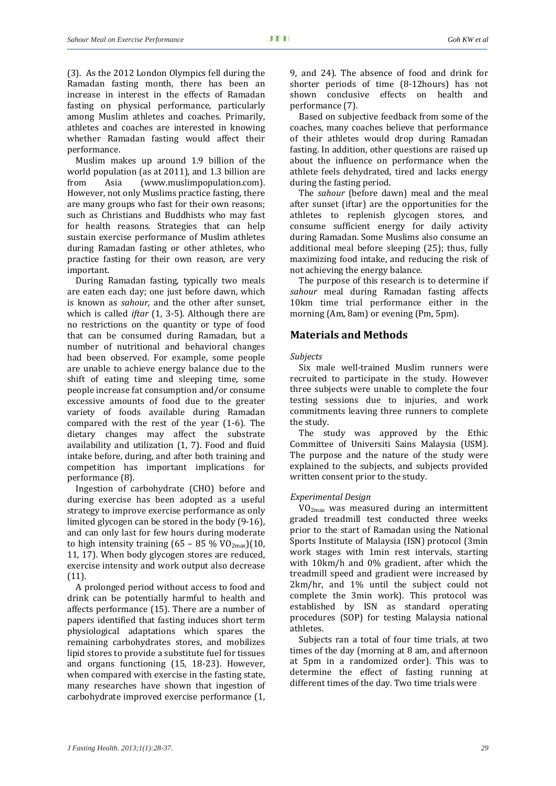(3). As the 2012 London Olympics fell during the Ramadan fasting month, there has been an increase in interest in the effects of Ramadan fasting on physical performance, particularly among Muslim athletes and coaches. Primarily, athletes and coaches are interested in knowing whether Ramadan fasting would affect their performance.

Muslim makes up around 1.9 billion of the world population (as at 2011), and 1.3 billion are from Asia (www.muslimpopulation.com). However, not only Muslims practice fasting, there are many groups who fast for their own reasons; such as Christians and Buddhists who may fast for health reasons. Strategies that can help sustain exercise performance of Muslim athletes during Ramadan fasting or other athletes, who practice fasting for their own reason, are very important.

During Ramadan fasting, typically two meals are eaten each day; one just before dawn, which is known as *sahour*, and the other after sunset, which is called *iftar* (1, 3-5). Although there are no restrictions on the quantity or type of food that can be consumed during Ramadan, but a number of nutritional and behavioral changes had been observed. For example, some people are unable to achieve energy balance due to the shift of eating time and sleeping time, some people increase fat consumption and/or consume excessive amounts of food due to the greater variety of foods available during Ramadan compared with the rest of the year (1‐6). The dietary changes may affect the substrate availability and utilization (1, 7). Food and fluid intake before, during, and after both training and competition has important implications for performance (8).

Ingestion of carbohydrate (CHO) before and during exercise has been adopted as a useful strategy to improve exercise performance as only limited glycogen can be stored in the body (9‐16), and can only last for few hours during moderate to high intensity training  $(65 - 85\% \text{ VO}_{2\text{max}})(10,$ 11, 17). When body glycogen stores are reduced, exercise intensity and work output also decrease (11).

A prolonged period without access to food and drink can be potentially harmful to health and affects performance (15). There are a number of papers identified that fasting induces short term physiological adaptations which spares the remaining carbohydrates stores, and mobilizes lipid stores to provide a substitute fuel for tissues and organs functioning (15, 18‐23). However, when compared with exercise in the fasting state, many researches have shown that ingestion of carbohydrate improved exercise performance (1, 9, and 24). The absence of food and drink for shorter periods of time (8‐12hours) has not shown conclusive effects on health and performance (7).

Based on subjective feedback from some of the coaches, many coaches believe that performance of their athletes would drop during Ramadan fasting. In addition, other questions are raised up about the influence on performance when the athlete feels dehydrated, tired and lacks energy during the fasting period.

The *sahour* (before dawn) meal and the meal after sunset (iftar) are the opportunities for the athletes to replenish glycogen stores, and consume sufficient energy for daily activity during Ramadan. Some Muslims also consume an additional meal before sleeping (25); thus, fully maximizing food intake, and reducing the risk of not achieving the energy balance.

The purpose of this research is to determine if *sahour* meal during Ramadan fasting affects 10km time trial performance either in the morning (Am, 8am) or evening (Pm, 5pm).

# **Materials and Methods**

#### *Subjects*

Six male well-trained Muslim runners were recruited to participate in the study. However three subjects were unable to complete the four testing sessions due to injuries, and work commitments leaving three runners to complete the study.

The study was approved by the Ethic Committee of Universiti Sains Malaysia (USM). The purpose and the nature of the study were explained to the subjects, and subjects provided written consent prior to the study.

#### *Experimental Design*

VO2max was measured during an intermittent graded treadmill test conducted three weeks prior to the start of Ramadan using the National Sports Institute of Malaysia (ISN) protocol (3min work stages with 1min rest intervals, starting with 10km/h and 0% gradient, after which the treadmill speed and gradient were increased by 2km/hr, and 1% until the subject could not complete the 3min work). This protocol was established by ISN as standard operating procedures (SOP) for testing Malaysia national athletes.

Subjects ran a total of four time trials, at two times of the day (morning at 8 am, and afternoon at 5pm in a randomized order). This was to determine the effect of fasting running at different times of the day. Two time trials were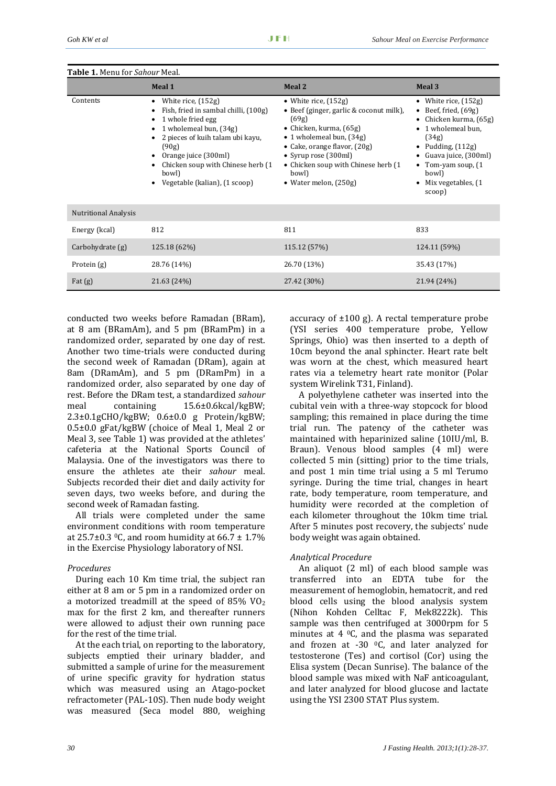| <b>Table 1.</b> Menu for Sahour Meal. |                                                                                                                                                                                                                                                                             |                                                                                                                                                                                                                                                                        |                                                                                                                                                                                                                                 |
|---------------------------------------|-----------------------------------------------------------------------------------------------------------------------------------------------------------------------------------------------------------------------------------------------------------------------------|------------------------------------------------------------------------------------------------------------------------------------------------------------------------------------------------------------------------------------------------------------------------|---------------------------------------------------------------------------------------------------------------------------------------------------------------------------------------------------------------------------------|
|                                       | Meal 1                                                                                                                                                                                                                                                                      | Meal 2                                                                                                                                                                                                                                                                 | Meal 3                                                                                                                                                                                                                          |
| Contents                              | White rice, (152g)<br>$\bullet$<br>Fish, fried in sambal chilli, (100g)<br>1 whole fried egg<br>1 wholemeal bun, (34g)<br>2 pieces of kuih talam ubi kayu,<br>(90g)<br>Orange juice (300ml)<br>Chicken soup with Chinese herb (1)<br>bowl)<br>Vegetable (kalian), (1 scoop) | • White rice, $(152g)$<br>• Beef (ginger, garlic & coconut milk),<br>(69g)<br>• Chicken, kurma, $(65g)$<br>• 1 wholemeal bun, (34g)<br>• Cake, orange flavor, (20g)<br>• Syrup rose (300ml)<br>• Chicken soup with Chinese herb (1<br>bowl)<br>• Water melon, $(250g)$ | • White rice, $(152g)$<br>• Beef, fried, $(69g)$<br>• Chicken kurma, $(65g)$<br>• 1 wholemeal bun,<br>(34g)<br>• Pudding, $(112g)$<br>• Guava juice, $(300ml)$<br>• Tom-yam soup, $(1$<br>bowl)<br>Mix vegetables, (1<br>scoop) |
| <b>Nutritional Analysis</b>           |                                                                                                                                                                                                                                                                             |                                                                                                                                                                                                                                                                        |                                                                                                                                                                                                                                 |
| Energy (kcal)                         | 812                                                                                                                                                                                                                                                                         | 811                                                                                                                                                                                                                                                                    | 833                                                                                                                                                                                                                             |
| Carbohydrate (g)                      | 125.18 (62%)                                                                                                                                                                                                                                                                | 115.12 (57%)                                                                                                                                                                                                                                                           | 124.11 (59%)                                                                                                                                                                                                                    |
| Protein $(g)$                         | 28.76 (14%)                                                                                                                                                                                                                                                                 | 26.70 (13%)                                                                                                                                                                                                                                                            | 35.43 (17%)                                                                                                                                                                                                                     |
| Fat $(g)$                             | 21.63 (24%)                                                                                                                                                                                                                                                                 | 27.42 (30%)                                                                                                                                                                                                                                                            | 21.94 (24%)                                                                                                                                                                                                                     |

conducted two weeks before Ramadan (BRam), at  $8$  am (BRamAm), and  $5$  pm (BRamPm) in a randomized order, separated by one day of rest. Another two time‐trials were conducted during the second week of Ramadan (DRam), again at 8am (DRamAm), and 5 pm (DRamPm) in a randomized order, also separated by one day of rest. Before the DRam test, a standardized *sahour* meal containing 15.6±0.6kcal/kgBW; 2.3±0.1gCHO/kgBW; 0.6±0.0 g Protein/kgBW; 0.5±0.0 gFat/kgBW (choice of Meal 1, Meal 2 or Meal 3, see Table 1) was provided at the athletes' cafeteria at the National Sports Council of Malaysia. One of the investigators was there to ensure the athletes ate their *sahour* meal. Subjects recorded their diet and daily activity for seven days, two weeks before, and during the second week of Ramadan fasting.

All trials were completed under the same environment conditions with room temperature at  $25.7\pm0.3$  °C, and room humidity at 66.7  $\pm$  1.7% in the Exercise Physiology laboratory of NSI.

## *Procedures*

During each 10 Km time trial, the subject ran either at 8 am or 5 pm in a randomized order on a motorized treadmill at the speed of  $85\%$  VO<sub>2</sub> max for the first 2 km, and thereafter runners were allowed to adjust their own running pace for the rest of the time trial.

At the each trial, on reporting to the laboratory, subjects emptied their urinary bladder, and submitted a sample of urine for the measurement of urine specific gravity for hydration status which was measured using an Atago-pocket refractometer (PAL‐10S). Then nude body weight was measured (Seca model 880, weighing accuracy of  $\pm 100$  g). A rectal temperature probe (YSI series 400 temperature probe, Yellow Springs, Ohio) was then inserted to a depth of 10cm beyond the anal sphincter. Heart rate belt was worn at the chest, which measured heart rates via a telemetry heart rate monitor (Polar system Wirelink T31, Finland).

A polyethylene catheter was inserted into the cubital vein with a three‐way stopcock for blood sampling; this remained in place during the time trial run. The patency of the catheter was maintained with heparinized saline (10IU/ml, B. Braun). Venous blood samples (4 ml) were collected 5 min (sitting) prior to the time trials, and post 1 min time trial using a 5 ml Terumo syringe. During the time trial, changes in heart rate, body temperature, room temperature, and humidity were recorded at the completion of each kilometer throughout the 10km time trial. After 5 minutes post recovery, the subjects' nude body weight was again obtained.

# *Analytical Procedure*

An aliquot (2 ml) of each blood sample was transferred into an EDTA tube for the measurement of hemoglobin, hematocrit, and red blood cells using the blood analysis system (Nihon Kohden Celltac F, Mek8222k). This sample was then centrifuged at 3000rpm for 5 minutes at  $4 \degree C$ , and the plasma was separated and frozen at  $-30$  °C, and later analyzed for testosterone (Tes) and cortisol (Cor) using the Elisa system (Decan Sunrise). The balance of the blood sample was mixed with NaF anticoagulant, and later analyzed for blood glucose and lactate using the YSI 2300 STAT Plus system.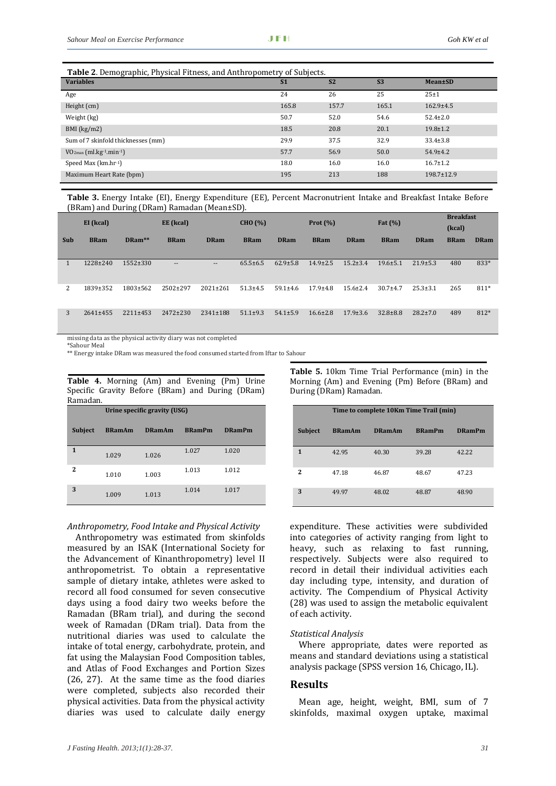| Table 2. Demographic, Physical Fitness, and Anthropometry of Subjects. |                |                |           |                  |  |  |  |  |
|------------------------------------------------------------------------|----------------|----------------|-----------|------------------|--|--|--|--|
| <b>Variables</b>                                                       | S <sub>1</sub> | S <sub>2</sub> | <b>S3</b> | <b>Mean</b> ±SD  |  |  |  |  |
| Age                                                                    | 24             | 26             | 25        | $25 + 1$         |  |  |  |  |
| Height (cm)                                                            | 165.8          | 157.7          | 165.1     | $162.9 \pm 4.5$  |  |  |  |  |
| Weight (kg)                                                            | 50.7           | 52.0           | 54.6      | $52.4 \pm 2.0$   |  |  |  |  |
| $BMI$ (kg/m2)                                                          | 18.5           | 20.8           | 20.1      | $19.8 \pm 1.2$   |  |  |  |  |
| Sum of 7 skinfold thicknesses (mm)                                     | 29.9           | 37.5           | 32.9      | $33.4 \pm 3.8$   |  |  |  |  |
| $VO_{2max}$ (ml.kg <sup>-1</sup> .min <sup>-1</sup> )                  | 57.7           | 56.9           | 50.0      | $54.9{\pm}4.2$   |  |  |  |  |
| Speed Max (km.hr-1)                                                    | 18.0           | 16.0           | 16.0      | $16.7 \pm 1.2$   |  |  |  |  |
| Maximum Heart Rate (bpm)                                               | 195            | 213            | 188       | $198.7 \pm 12.9$ |  |  |  |  |

**Table 3.** Energy Intake (EI), Energy Expenditure (EE), Percent Macronutrient Intake and Breakfast Intake Before (BRam) and During (DRam) Ramadan (Mean±SD).

|     | EI (kcal)      |                | EE (kcal)         |                          | CHO (%)        | Prot $(\% )$   |                | Fat $(\%)$     |                |                | <b>Breakfast</b> |             |
|-----|----------------|----------------|-------------------|--------------------------|----------------|----------------|----------------|----------------|----------------|----------------|------------------|-------------|
|     |                |                |                   |                          |                |                |                |                |                |                | (kcal)           |             |
| Sub | <b>BRam</b>    | DRam**         | <b>BRam</b>       | <b>DRam</b>              | <b>BRam</b>    | <b>DRam</b>    | <b>BRam</b>    | <b>DRam</b>    | <b>BRam</b>    | <b>DRam</b>    | <b>BRam</b>      | <b>DRam</b> |
|     |                |                |                   |                          |                |                |                |                |                |                |                  |             |
|     | 1228±240       | 1552±330       | $\qquad \qquad -$ | $\overline{\phantom{a}}$ | $65.5 \pm 6.5$ | $62.9 \pm 5.8$ | $14.9 \pm 2.5$ | $15.2 \pm 3.4$ | $19.6 \pm 5.1$ | $21.9 \pm 5.3$ | 480              | 833*        |
| 2   | 1839±352       | 1803±562       | 2502±297          | $2021 \pm 261$           | $51.3 \pm 4.5$ | $59.1 \pm 4.6$ | $17.9 + 4.8$   | $15.6 \pm 2.4$ | $30.7 + 4.7$   | $25.3 \pm 3.1$ | 265              | 811*        |
| 3   | $2641 \pm 455$ | $2211 \pm 453$ | 2472±230          | 2341±188                 | $51.1 \pm 9.3$ | $54.1 \pm 5.9$ | $16.6 \pm 2.8$ | $17.9 \pm 3.6$ | $32.8 \pm 8.8$ | $28.2 \pm 7.0$ | 489              | 812*        |

missing data as the physical activity diary was not completed

\*Sahour Meal

\*\* Energy intake DRam was measured the food consumed started from Iftar to Sahour

**Table 4.** Morning (Am) and Evening (Pm) Urine Specific Gravity Before (BRam) and During (DRam) Ramadan.

|                | Urine specific gravity (USG) |               |               |               |  |  |  |  |
|----------------|------------------------------|---------------|---------------|---------------|--|--|--|--|
| <b>Subject</b> | <b>BRamAm</b>                | <b>DRamAm</b> | <b>BRamPm</b> | <b>DRamPm</b> |  |  |  |  |
| 1              | 1.029                        | 1.026         | 1.027         | 1.020         |  |  |  |  |
| 2              | 1.010                        | 1.003         | 1.013         | 1.012         |  |  |  |  |
| 3              | 1.009                        | 1.013         | 1.014         | 1.017         |  |  |  |  |

#### *Anthropometry, Food Intake and Physical Activity*

Anthropometry was estimated from skinfolds measured by an ISAK (International Society for the Advancement of Kinanthropometry) level II anthropometrist. To obtain a representative sample of dietary intake, athletes were asked to record all food consumed for seven consecutive days using a food dairy two weeks before the Ramadan (BRam trial), and during the second week of Ramadan (DRam trial). Data from the nutritional diaries was used to calculate the intake of total energy, carbohydrate, protein, and fat using the Malaysian Food Composition tables, and Atlas of Food Exchanges and Portion Sizes  $(26, 27)$ . At the same time as the food diaries were completed, subjects also recorded their physical activities. Data from the physical activity diaries was used to calculate daily energy **Table 5.** 10km Time Trial Performance (min) in the Morning (Am) and Evening (Pm) Before (BRam) and During (DRam) Ramadan.

|                | Time to complete 10Km Time Trail (min) |               |               |               |  |  |  |  |  |
|----------------|----------------------------------------|---------------|---------------|---------------|--|--|--|--|--|
| <b>Subject</b> | <b>BRamAm</b>                          | <b>DRamAm</b> | <b>BRamPm</b> | <b>DRamPm</b> |  |  |  |  |  |
| 1              | 42.95                                  | 40.30         | 39.28         | 42.22         |  |  |  |  |  |
| 2              | 47.18                                  | 46.87         | 48.67         | 47.23         |  |  |  |  |  |
| 3              | 49.97                                  | 48.02         | 48.87         | 48.90         |  |  |  |  |  |

expenditure. These activities were subdivided into categories of activity ranging from light to heavy, such as relaxing to fast running, respectively. Subjects were also required to record in detail their individual activities each day including type, intensity, and duration of activity. The Compendium of Physical Activity (28) was used to assign the metabolic equivalent of each activity.

#### *Statistical Analysis*

Where appropriate, dates were reported as means and standard deviations using a statistical analysis package (SPSS version 16, Chicago, IL).

#### **Results**

Mean age, height, weight, BMI, sum of 7 skinfolds, maximal oxygen uptake, maximal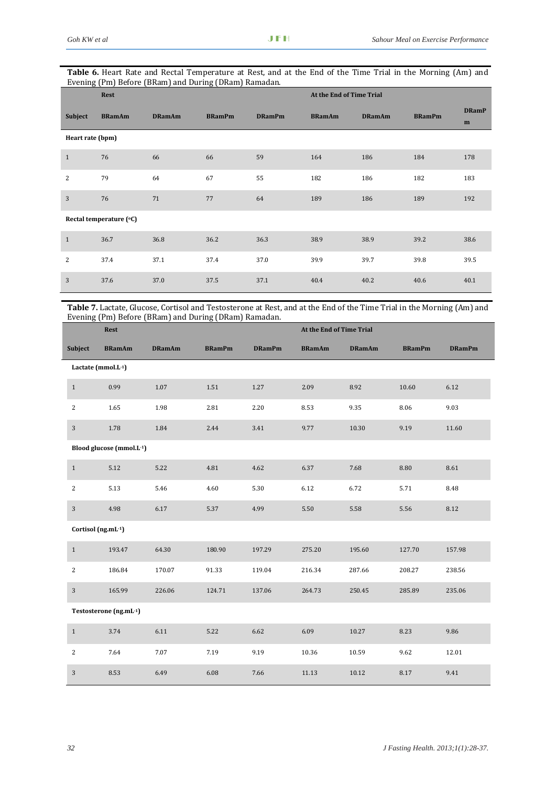| <b>Table 6.</b> Heart Rate and Rectal Temperature at Rest, and at the End of the Time Trial in the Morning (Am) and |  |  |  |
|---------------------------------------------------------------------------------------------------------------------|--|--|--|
| Evening (Pm) Before (BRam) and During (DRam) Ramadan.                                                               |  |  |  |

|                  | Rest                    |               |               |               | At the End of Time Trial |               |               |                   |
|------------------|-------------------------|---------------|---------------|---------------|--------------------------|---------------|---------------|-------------------|
| Subject          | <b>BRamAm</b>           | <b>DRamAm</b> | <b>BRamPm</b> | <b>DRamPm</b> | <b>BRamAm</b>            | <b>DRamAm</b> | <b>BRamPm</b> | <b>DRamP</b><br>m |
| Heart rate (bpm) |                         |               |               |               |                          |               |               |                   |
| $\mathbf{1}$     | 76                      | 66            | 66            | 59            | 164                      | 186           | 184           | 178               |
| 2                | 79                      | 64            | 67            | 55            | 182                      | 186           | 182           | 183               |
| 3                | 76                      | 71            | 77            | 64            | 189                      | 186           | 189           | 192               |
|                  | Rectal temperature (°C) |               |               |               |                          |               |               |                   |
| $\mathbf{1}$     | 36.7                    | 36.8          | 36.2          | 36.3          | 38.9                     | 38.9          | 39.2          | 38.6              |
| 2                | 37.4                    | 37.1          | 37.4          | 37.0          | 39.9                     | 39.7          | 39.8          | 39.5              |
| 3                | 37.6                    | 37.0          | 37.5          | 37.1          | 40.4                     | 40.2          | 40.6          | 40.1              |

**Table 7.** Lactate, Glucose, Cortisol and Testosterone at Rest, and at the End of the Time Trial in the Morning (Am) and Evening (Pm) Before (BRam) and During (DRam) Ramadan.

|                    | Rest                     |               |               |               | At the End of Time Trial |               |               |               |  |  |
|--------------------|--------------------------|---------------|---------------|---------------|--------------------------|---------------|---------------|---------------|--|--|
| <b>Subject</b>     | <b>BRamAm</b>            | <b>DRamAm</b> | <b>BRamPm</b> | <b>DRamPm</b> | <b>BRamAm</b>            | <b>DRamAm</b> | <b>BRamPm</b> | <b>DRamPm</b> |  |  |
|                    | Lactate (mmol.L-1)       |               |               |               |                          |               |               |               |  |  |
| $\mathbf{1}$       | 0.99                     | 1.07          | 1.51          | 1.27          | 2.09                     | 8.92          | 10.60         | 6.12          |  |  |
| 2                  | 1.65                     | 1.98          | 2.81          | 2.20          | 8.53                     | 9.35          | 8.06          | 9.03          |  |  |
| 3                  | 1.78                     | 1.84          | 2.44          | 3.41          | 9.77                     | 10.30         | 9.19          | 11.60         |  |  |
|                    | Blood glucose (mmol.L-1) |               |               |               |                          |               |               |               |  |  |
| $\,1\,$            | 5.12                     | 5.22          | 4.81          | 4.62          | 6.37                     | 7.68          | 8.80          | 8.61          |  |  |
| $\overline{2}$     | 5.13                     | 5.46          | 4.60          | 5.30          | 6.12                     | 6.72          | 5.71          | 8.48          |  |  |
| 3                  | 4.98                     | 6.17          | 5.37          | 4.99          | 5.50                     | 5.58          | 5.56          | 8.12          |  |  |
| Cortisol (ng.mL-1) |                          |               |               |               |                          |               |               |               |  |  |
| $\mathbf{1}$       | 193.47                   | 64.30         | 180.90        | 197.29        | 275.20                   | 195.60        | 127.70        | 157.98        |  |  |
| 2                  | 186.84                   | 170.07        | 91.33         | 119.04        | 216.34                   | 287.66        | 208.27        | 238.56        |  |  |
| $\overline{3}$     | 165.99                   | 226.06        | 124.71        | 137.06        | 264.73                   | 250.45        | 285.89        | 235.06        |  |  |
|                    | Testosterone (ng.mL-1)   |               |               |               |                          |               |               |               |  |  |
| $\mathbf{1}$       | 3.74                     | 6.11          | 5.22          | 6.62          | 6.09                     | 10.27         | 8.23          | 9.86          |  |  |
| $\overline{2}$     | 7.64                     | 7.07          | 7.19          | 9.19          | 10.36                    | 10.59         | 9.62          | 12.01         |  |  |
| 3                  | 8.53                     | 6.49          | 6.08          | 7.66          | 11.13                    | 10.12         | 8.17          | 9.41          |  |  |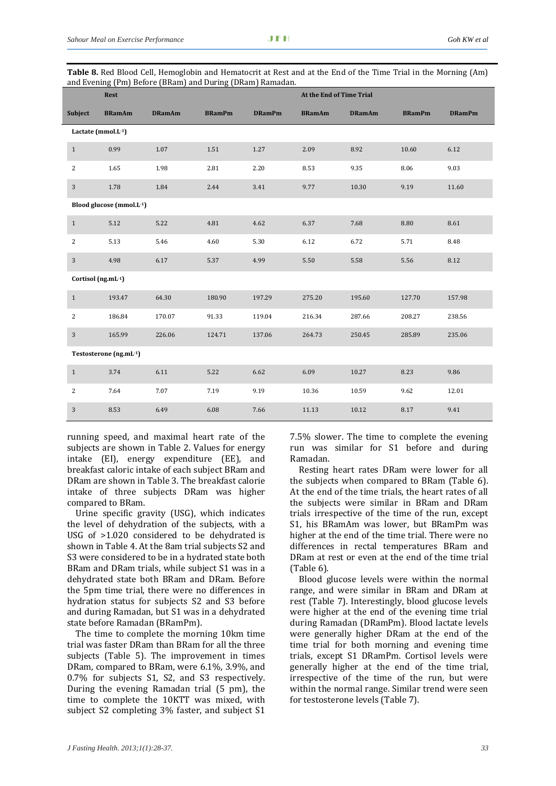| <b>Table 8.</b> Red Blood Cell, Hemoglobin and Hematocrit at Rest and at the End of the Time Trial in the Morning (Am) |
|------------------------------------------------------------------------------------------------------------------------|
| and Evening (Pm) Before (BRam) and During (DRam) Ramadan.                                                              |

| and Brennig († 111) Berore (Brunn) and Buring (Brunn) Ramadan | <b>Rest</b>              |               |               | At the End of Time Trial |               |               |               |               |
|---------------------------------------------------------------|--------------------------|---------------|---------------|--------------------------|---------------|---------------|---------------|---------------|
| <b>Subject</b>                                                | <b>BRamAm</b>            | <b>DRamAm</b> | <b>BRamPm</b> | <b>DRamPm</b>            | <b>BRamAm</b> | <b>DRamAm</b> | <b>BRamPm</b> | <b>DRamPm</b> |
|                                                               | Lactate (mmol.L-1)       |               |               |                          |               |               |               |               |
| $\mathbf{1}$                                                  | 0.99                     | 1.07          | 1.51          | 1.27                     | 2.09          | 8.92          | 10.60         | 6.12          |
| 2                                                             | 1.65                     | 1.98          | 2.81          | 2.20                     | 8.53          | 9.35          | 8.06          | 9.03          |
| $\mathbf{3}$                                                  | 1.78                     | 1.84          | 2.44          | 3.41                     | 9.77          | 10.30         | 9.19          | 11.60         |
|                                                               | Blood glucose (mmol.L-1) |               |               |                          |               |               |               |               |
| $\mathbf{1}$                                                  | 5.12                     | 5.22          | 4.81          | 4.62                     | 6.37          | 7.68          | 8.80          | 8.61          |
| 2                                                             | 5.13                     | 5.46          | 4.60          | 5.30                     | 6.12          | 6.72          | 5.71          | 8.48          |
| $\overline{3}$                                                | 4.98                     | 6.17          | 5.37          | 4.99                     | 5.50          | 5.58          | 5.56          | 8.12          |
|                                                               | Cortisol (ng.mL-1)       |               |               |                          |               |               |               |               |
| $\mathbf{1}$                                                  | 193.47                   | 64.30         | 180.90        | 197.29                   | 275.20        | 195.60        | 127.70        | 157.98        |
| 2                                                             | 186.84                   | 170.07        | 91.33         | 119.04                   | 216.34        | 287.66        | 208.27        | 238.56        |
| $\overline{3}$                                                | 165.99                   | 226.06        | 124.71        | 137.06                   | 264.73        | 250.45        | 285.89        | 235.06        |
|                                                               | Testosterone (ng.mL-1)   |               |               |                          |               |               |               |               |
| $\mathbf{1}$                                                  | 3.74                     | 6.11          | 5.22          | 6.62                     | 6.09          | 10.27         | 8.23          | 9.86          |
| 2                                                             | 7.64                     | 7.07          | 7.19          | 9.19                     | 10.36         | 10.59         | 9.62          | 12.01         |
| 3                                                             | 8.53                     | 6.49          | 6.08          | 7.66                     | 11.13         | 10.12         | 8.17          | 9.41          |

running speed, and maximal heart rate of the subjects are shown in Table 2. Values for energy intake (EI), energy expenditure (EE), and breakfast caloric intake of each subject BRam and DRam are shown in Table 3. The breakfast calorie intake of three subjects DRam was higher compared to BRam.

Urine specific gravity (USG), which indicates the level of dehydration of the subjects, with a USG of >1.020 considered to be dehydrated is shown in Table 4. At the 8am trial subjects S2 and S3 were considered to be in a hydrated state both BRam and DRam trials, while subject S1 was in a dehydrated state both BRam and DRam. Before the 5pm time trial, there were no differences in hydration status for subjects S2 and S3 before and during Ramadan, but S1 was in a dehydrated state before Ramadan (BRamPm).

The time to complete the morning 10km time trial was faster DRam than BRam for all the three subjects (Table 5). The improvement in times DRam, compared to BRam, were 6.1%, 3.9%, and 0.7% for subjects S1, S2, and S3 respectively. During the evening Ramadan trial (5 pm), the time to complete the 10KTT was mixed, with subject S2 completing 3% faster, and subject S1 7.5% slower. The time to complete the evening run was similar for S1 before and during Ramadan.

Resting heart rates DRam were lower for all the subjects when compared to BRam (Table 6). At the end of the time trials, the heart rates of all the subjects were similar in BRam and DRam trials irrespective of the time of the run, except S1, his BRamAm was lower, but BRamPm was higher at the end of the time trial. There were no differences in rectal temperatures BRam and DRam at rest or even at the end of the time trial (Table 6).

Blood glucose levels were within the normal range, and were similar in BRam and DRam at rest (Table 7). Interestingly, blood glucose levels were higher at the end of the evening time trial during Ramadan (DRamPm). Blood lactate levels were generally higher DRam at the end of the time trial for both morning and evening time trials, except S1 DRamPm. Cortisol levels were generally higher at the end of the time trial, irrespective of the time of the run, but were within the normal range. Similar trend were seen for testosterone levels (Table 7).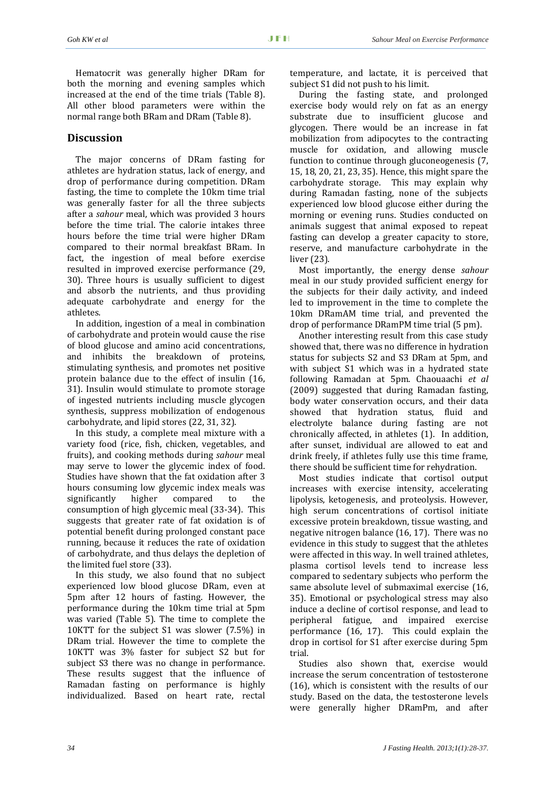Hematocrit was generally higher DRam for both the morning and evening samples which increased at the end of the time trials (Table 8). All other blood parameters were within the normal range both BRam and DRam (Table 8).

# **Discussion**

The major concerns of DRam fasting for athletes are hydration status, lack of energy, and drop of performance during competition. DRam fasting, the time to complete the 10km time trial was generally faster for all the three subjects after a *sahour* meal, which was provided 3 hours before the time trial. The calorie intakes three hours before the time trial were higher DRam compared to their normal breakfast BRam. In fact, the ingestion of meal before exercise resulted in improved exercise performance (29, 30). Three hours is usually sufficient to digest and absorb the nutrients, and thus providing adequate carbohydrate and energy for the athletes.

In addition, ingestion of a meal in combination of carbohydrate and protein would cause the rise of blood glucose and amino acid concentrations, and inhibits the breakdown of proteins, stimulating synthesis, and promotes net positive protein balance due to the effect of insulin (16, 31). Insulin would stimulate to promote storage of ingested nutrients including muscle glycogen synthesis, suppress mobilization of endogenous carbohydrate, and lipid stores (22, 31, 32).

In this study, a complete meal mixture with a variety food (rice, fish, chicken, vegetables, and fruits), and cooking methods during *sahour* meal may serve to lower the glycemic index of food. Studies have shown that the fat oxidation after 3 hours consuming low glycemic index meals was significantly higher compared to the consumption of high glycemic meal (33‐34). This suggests that greater rate of fat oxidation is of potential benefit during prolonged constant pace running, because it reduces the rate of oxidation of carbohydrate, and thus delays the depletion of the limited fuel store (33).

In this study, we also found that no subject experienced low blood glucose DRam, even at 5pm after 12 hours of fasting. However, the performance during the 10km time trial at 5pm was varied (Table 5). The time to complete the 10KTT for the subject S1 was slower (7.5%) in DRam trial. However the time to complete the 10KTT was 3% faster for subject S2 but for subject S3 there was no change in performance. These results suggest that the influence of Ramadan fasting on performance is highly individualized. Based on heart rate, rectal

temperature, and lactate, it is perceived that subject S1 did not push to his limit.

During the fasting state, and prolonged exercise body would rely on fat as an energy substrate due to insufficient glucose and glycogen. There would be an increase in fat mobilization from adipocytes to the contracting muscle for oxidation, and allowing muscle function to continue through gluconeogenesis (7, 15, 18, 20, 21, 23, 35). Hence, this might spare the carbohydrate storage. This may explain why during Ramadan fasting, none of the subjects experienced low blood glucose either during the morning or evening runs. Studies conducted on animals suggest that animal exposed to repeat fasting can develop a greater capacity to store, reserve, and manufacture carbohydrate in the liver (23).

Most importantly, the energy dense *sahour* meal in our study provided sufficient energy for the subjects for their daily activity, and indeed led to improvement in the time to complete the 10km DRamAM time trial, and prevented the drop of performance DRamPM time trial (5 pm).

Another interesting result from this case study showed that, there was no difference in hydration status for subjects S2 and S3 DRam at 5pm, and with subject S1 which was in a hydrated state following Ramadan at 5pm. Chaouaachi *et al* (2009) suggested that during Ramadan fasting, body water conservation occurs, and their data showed that hydration status, fluid and electrolyte balance during fasting are not chronically affected, in athletes (1). In addition, after sunset, individual are allowed to eat and drink freely, if athletes fully use this time frame, there should be sufficient time for rehydration.

Most studies indicate that cortisol output increases with exercise intensity, accelerating lipolysis, ketogenesis, and proteolysis. However, high serum concentrations of cortisol initiate excessive protein breakdown, tissue wasting, and negative nitrogen balance (16, 17). There was no evidence in this study to suggest that the athletes were affected in this way. In well trained athletes, plasma cortisol levels tend to increase less compared to sedentary subjects who perform the same absolute level of submaximal exercise (16, 35). Emotional or psychological stress may also induce a decline of cortisol response, and lead to peripheral fatigue, and impaired exercise performance (16, 17). This could explain the drop in cortisol for S1 after exercise during 5pm trial.

Studies also shown that, exercise would increase the serum concentration of testosterone (16), which is consistent with the results of our study. Based on the data, the testosterone levels were generally higher DRamPm, and after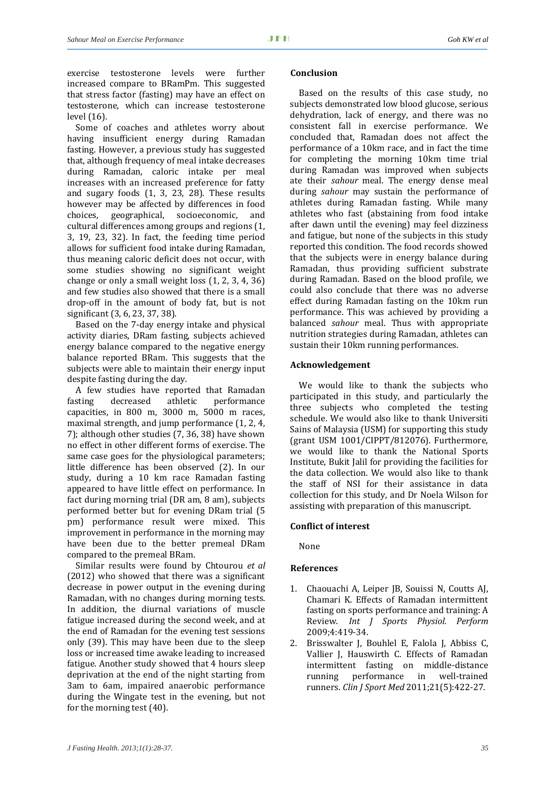exercise testosterone levels were further increased compare to BRamPm. This suggested that stress factor (fasting) may have an effect on testosterone, which can increase testosterone level (16).

Some of coaches and athletes worry about having insufficient energy during Ramadan fasting. However, a previous study has suggested that, although frequency of meal intake decreases during Ramadan, caloric intake per meal increases with an increased preference for fatty and sugary foods (1, 3, 23, 28). These results however may be affected by differences in food choices, geographical, socioeconomic, and cultural differences among groups and regions (1, 3, 19, 23, 32). In fact, the feeding time period allows for sufficient food intake during Ramadan, thus meaning caloric deficit does not occur, with some studies showing no significant weight change or only a small weight loss (1, 2, 3, 4, 36) and few studies also showed that there is a small drop‐off in the amount of body fat, but is not significant (3, 6, 23, 37, 38).

Based on the 7‐day energy intake and physical activity diaries, DRam fasting, subjects achieved energy balance compared to the negative energy balance reported BRam. This suggests that the subjects were able to maintain their energy input despite fasting during the day.

A few studies have reported that Ramadan fasting decreased athletic performance capacities, in 800 m, 3000 m, 5000 m races, maximal strength, and jump performance (1, 2, 4, 7); although other studies (7, 36, 38) have shown no effect in other different forms of exercise. The same case goes for the physiological parameters; little difference has been observed (2). In our study, during a 10 km race Ramadan fasting appeared to have little effect on performance. In fact during morning trial (DR am, 8 am), subjects performed better but for evening DRam trial (5 pm) performance result were mixed. This improvement in performance in the morning may have been due to the better premeal DRam compared to the premeal BRam.

Similar results were found by Chtourou *et al* (2012) who showed that there was a significant decrease in power output in the evening during Ramadan, with no changes during morning tests. In addition, the diurnal variations of muscle fatigue increased during the second week, and at the end of Ramadan for the evening test sessions only (39). This may have been due to the sleep loss or increased time awake leading to increased fatigue. Another study showed that 4 hours sleep deprivation at the end of the night starting from 3am to 6am, impaired anaerobic performance during the Wingate test in the evening, but not for the morning test (40).

#### **Conclusion**

Based on the results of this case study, no subjects demonstrated low blood glucose, serious dehydration, lack of energy, and there was no consistent fall in exercise performance. We concluded that, Ramadan does not affect the performance of a 10km race, and in fact the time for completing the morning 10km time trial during Ramadan was improved when subjects ate their *sahour* meal. The energy dense meal during *sahour* may sustain the performance of athletes during Ramadan fasting. While many athletes who fast (abstaining from food intake after dawn until the evening) may feel dizziness and fatigue, but none of the subjects in this study reported this condition. The food records showed that the subjects were in energy balance during Ramadan, thus providing sufficient substrate during Ramadan. Based on the blood profile, we could also conclude that there was no adverse effect during Ramadan fasting on the 10km run performance. This was achieved by providing a balanced *sahour* meal. Thus with appropriate nutrition strategies during Ramadan, athletes can sustain their 10km running performances.

#### **Acknowledgement**

We would like to thank the subjects who participated in this study, and particularly the three subjects who completed the testing schedule. We would also like to thank Universiti Sains of Malaysia (USM) for supporting this study (grant USM 1001/CIPPT/812076). Furthermore, we would like to thank the National Sports Institute, Bukit Jalil for providing the facilities for the data collection. We would also like to thank the staff of NSI for their assistance in data collection for this study, and Dr Noela Wilson for assisting with preparation of this manuscript.

#### **Conflict of interest**

None

#### **References**

- 1. Chaouachi A, Leiper IB, Souissi N, Coutts AI, Chamari K. Effects of Ramadan intermittent fasting on sports performance and training: A Review. *Int J Sports Physiol. Perform* 2009;4:419‐34.
- 2. Brisswalter J, Bouhlel E, Falola J, Abbiss C, Vallier J, Hauswirth C. Effects of Ramadan intermittent fasting on middle‐distance running performance in well-trained runners. *Clin J Sport Med* 2011;21(5):422‐27.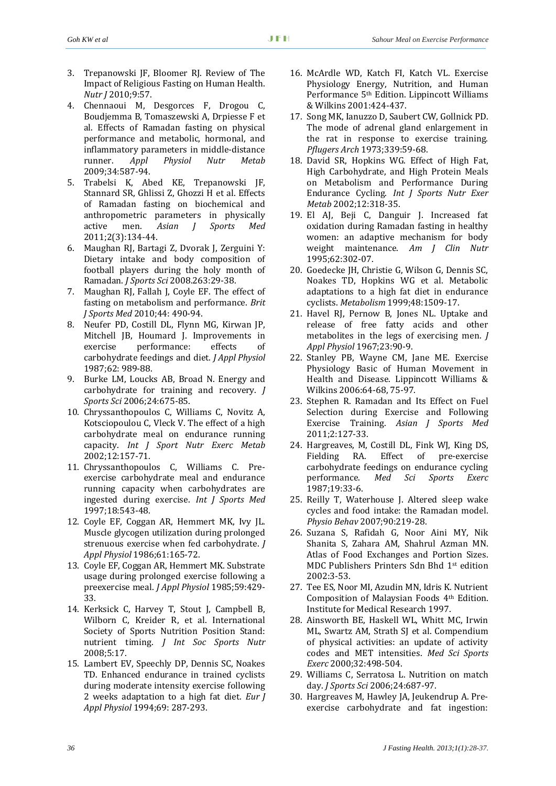- 3. Trepanowski JF, Bloomer RJ. Review of The Impact of Religious Fasting on Human Health. *Nutr J* 2010;9:57.
- 4. Chennaoui M, Desgorces F, Drogou C, Boudjemma B, Tomaszewski A, Drpiesse F et al. Effects of Ramadan fasting on physical performance and metabolic, hormonal, and inflammatory parameters in middle‐distance runner. *Appl Physiol Nutr Metab* 2009;34:587‐94.
- 5. Trabelsi K, Abed KE, Trepanowski JF, Stannard SR, Ghlissi Z, Ghozzi H et al. Effects of Ramadan fasting on biochemical and anthropometric parameters in physically active men. *Asian J Sports Med* 2011;2(3):134‐44.
- 6. Maughan RJ, Bartagi Z, Dvorak J, Zerguini Y: Dietary intake and body composition of football players during the holy month of Ramadan. *J Sports Sci* 2008.263:29‐38.
- 7. Maughan RJ, Fallah J, Coyle EF. The effect of fasting on metabolism and performance. *Brit J Sports Med* 2010;44: 490‐94.
- 8. Neufer PD, Costill DL, Flynn MG, Kirwan JP, Mitchell JB, Houmard J. Improvements in exercise performance: effects of carbohydrate feedings and diet. *J Appl Physiol* 1987;62: 989‐88.
- 9. Burke LM, Loucks AB, Broad N. Energy and carbohydrate for training and recovery. *J Sports Sci* 2006;24:675‐85.
- 10. Chryssanthopoulos C, Williams C, Novitz A, Kotsciopoulou C, Vleck V. The effect of a high carbohydrate meal on endurance running capacity. *Int J Sport Nutr Exerc Metab* 2002;12:157‐71.
- 11. Chryssanthopoulos C, Williams C. Pre‐ exercise carbohydrate meal and endurance running capacity when carbohydrates are ingested during exercise. *Int J Sports Med* 1997;18:543‐48.
- 12. Coyle EF, Coggan AR, Hemmert MK, Ivy JL. Muscle glycogen utilization during prolonged strenuous exercise when fed carbohydrate. *J Appl Physiol* 1986;61:165‐72.
- 13. Coyle EF, Coggan AR, Hemmert MK. Substrate usage during prolonged exercise following a preexercise meal. *J Appl Physiol* 1985;59:429‐ 33.
- 14. Kerksick C, Harvey T, Stout J, Campbell B, Wilborn C, Kreider R, et al. International Society of Sports Nutrition Position Stand: nutrient timing. *J Int Soc Sports Nutr* 2008;5:17.
- 15. Lambert EV, Speechly DP, Dennis SC, Noakes TD. Enhanced endurance in trained cyclists during moderate intensity exercise following 2 weeks adaptation to a high fat diet. *Eur J Appl Physiol* 1994;69: 287‐293.
- 16. McArdle WD, Katch FI, Katch VL. Exercise Physiology Energy, Nutrition, and Human Performance 5th Edition. Lippincott Williams & Wilkins 2001:424‐437.
- 17. Song MK, Ianuzzo D, Saubert CW, Gollnick PD. The mode of adrenal gland enlargement in the rat in response to exercise training. *Pflugers Arch* 1973;339:59‐68.
- 18. David SR, Hopkins WG. Effect of High Fat, High Carbohydrate, and High Protein Meals on Metabolism and Performance During Endurance Cycling. *Int J Sports Nutr Exer Metab* 2002;12:318‐35.
- 19. El AJ, Beji C, Danguir J. Increased fat oxidation during Ramadan fasting in healthy women: an adaptive mechanism for body weight maintenance. *Am J Clin Nutr* 1995;62:302‐07.
- 20. Goedecke JH, Christie G, Wilson G, Dennis SC, Noakes TD, Hopkins WG et al. Metabolic adaptations to a high fat diet in endurance cyclists. *Metabolism* 1999;48:1509‐17.
- 21. Havel RJ, Pernow B, Jones NL. Uptake and release of free fatty acids and other metabolites in the legs of exercising men. *J Appl Physiol* 1967;23:90‐9.
- 22. Stanley PB, Wayne CM, Jane ME. Exercise Physiology Basic of Human Movement in Health and Disease. Lippincott Williams & Wilkins 2006:64‐68, 75‐97.
- 23. Stephen R. Ramadan and Its Effect on Fuel Selection during Exercise and Following Exercise Training. *Asian J Sports Med* 2011;2:127‐33.
- 24. Hargreaves, M, Costill DL, Fink WJ, King DS, Fielding RA. Effect of pre-exercise carbohydrate feedings on endurance cycling performance. *Med Sci Sports Exerc* 1987;19:33‐6.
- 25. Reilly T, Waterhouse J. Altered sleep wake cycles and food intake: the Ramadan model. *Physio Behav* 2007;90:219‐28.
- 26. Suzana S, Rafidah G, Noor Aini MY, Nik Shanita S, Zahara AM, Shahrul Azman MN. Atlas of Food Exchanges and Portion Sizes. MDC Publishers Printers Sdn Bhd 1st edition 2002:3‐53.
- 27. Tee ES, Noor MI, Azudin MN, Idris K. Nutrient Composition of Malaysian Foods 4th Edition. Institute for Medical Research 1997.
- 28. Ainsworth BE, Haskell WL, Whitt MC, Irwin ML, Swartz AM, Strath SJ et al. Compendium of physical activities: an update of activity codes and MET intensities. *Med Sci Sports Exerc* 2000;32:498‐504.
- 29. Williams C, Serratosa L. Nutrition on match day. *J Sports Sci* 2006;24:687‐97.
- 30. Hargreaves M, Hawley JA, Jeukendrup A. Pre‐ exercise carbohydrate and fat ingestion: